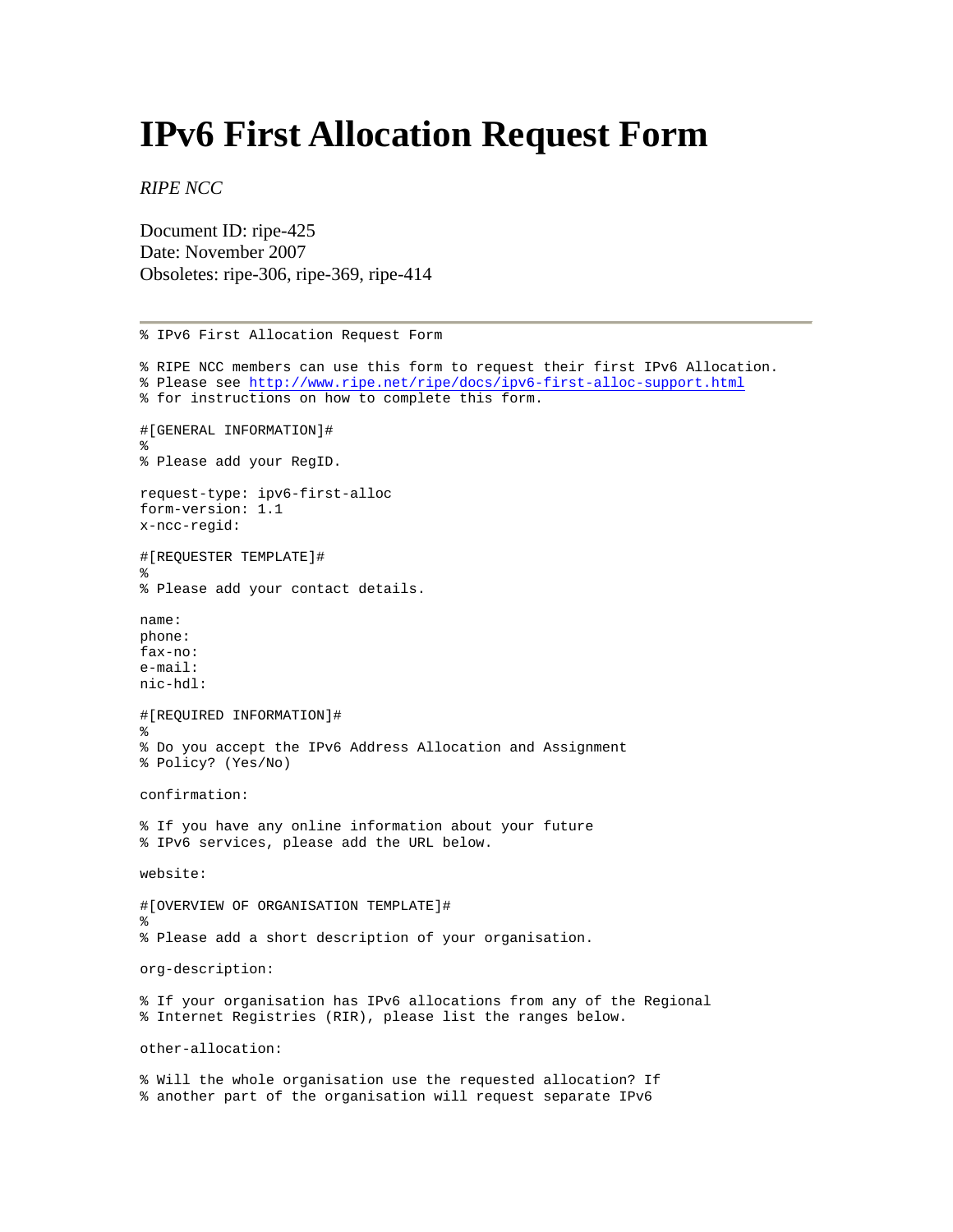## **IPv6 First Allocation Request Form**

*RIPE NCC*

Document ID: ripe-425 Date: November 2007 Obsoletes: ripe-306, ripe-369, ripe-414

% IPv6 First Allocation Request Form % RIPE NCC members can use this form to request their first IPv6 Allocation. % Please see<http://www.ripe.net/ripe/docs/ipv6-first-alloc-support.html> % for instructions on how to complete this form. #[GENERAL INFORMATION]# % % Please add your RegID. request-type: ipv6-first-alloc form-version: 1.1 x-ncc-regid: #[REQUESTER TEMPLATE]# % % Please add your contact details. name: phone: fax-no: e-mail: nic-hdl: #[REQUIRED INFORMATION]# % % Do you accept the IPv6 Address Allocation and Assignment % Policy? (Yes/No) confirmation: % If you have any online information about your future % IPv6 services, please add the URL below. website: #[OVERVIEW OF ORGANISATION TEMPLATE]# % % Please add a short description of your organisation. org-description: % If your organisation has IPv6 allocations from any of the Regional % Internet Registries (RIR), please list the ranges below. other-allocation: % Will the whole organisation use the requested allocation? If % another part of the organisation will request separate IPv6